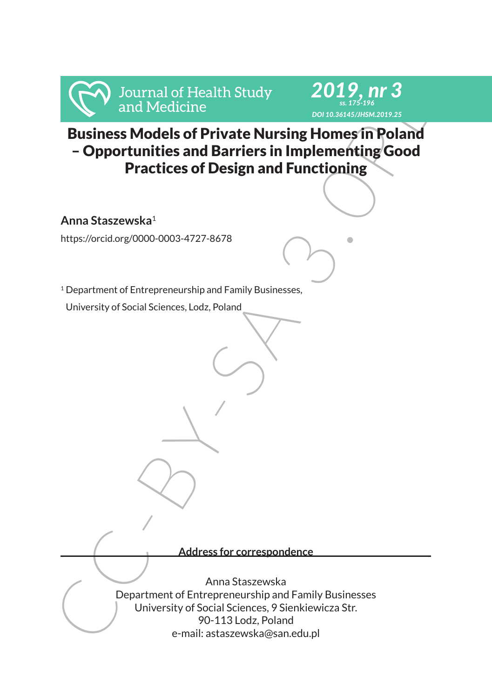



From Strain of Health Study<br>
2012<br>
Strain Medicine<br>
Business Models of Private Nursing Homes in Poland<br>
- Opportmitties and Barriers in Implementing Good<br>
Practices of Design and Functioning<br>
Anna Staszewska<br>
1.<br>
1.<br>
1.<br>
1 Business Models of Private Nursing Homes in Poland – Opportunities and Barriers in Implementing Good Practices of Design and Functioning

**Anna Staszewska**<sup>1</sup>

https://orcid.org/0000-0003-4727-8678

<sup>1</sup> Department of Entrepreneurship and Family Businesses,

University of Social Sciences, Lodz, Poland

**Address for correspondence**

Anna Staszewska Department of Entrepreneurship and Family Businesses University of Social Sciences, 9 Sienkiewicza Str. 90-113 Lodz, Poland e-mail: astaszewska@san.edu.pl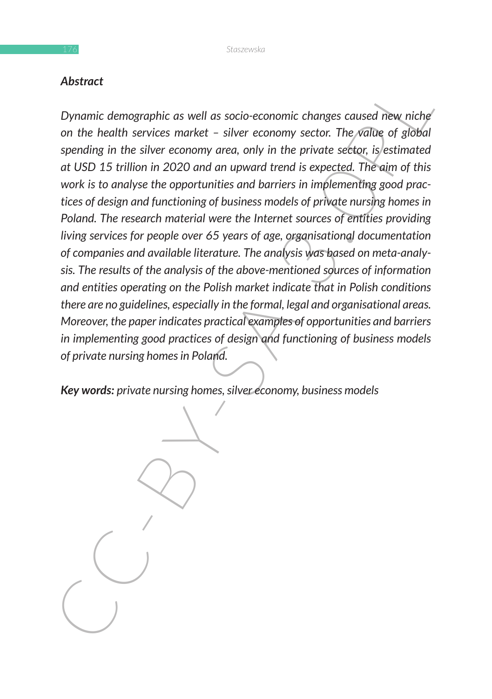### *Abstract*

Abstract<br>
Dynamic demographic as well as socio-economic changes caused new niche<br>
Dynamic demographic as well as socio-economy sector. The yading of globia<br>
on the health services market – silver economy sector. The yading *Dynamic demographic as well as socio-economic changes caused new niche on the health services market – silver economy sector. The value of global spending in the silver economy area, only in the private sector, is estimated at USD 15 trillion in 2020 and an upward trend is expected. The aim of this work is to analyse the opportunities and barriers in implementing good practices of design and functioning of business models of private nursing homes in Poland. The research material were the Internet sources of entities providing living services for people over 65 years of age, organisational documentation of companies and available literature. The analysis was based on meta-analysis. The results of the analysis of the above-mentioned sources of information and entities operating on the Polish market indicate that in Polish conditions there are no guidelines, especially in the formal, legal and organisational areas. Moreover, the paper indicates practical examples of opportunities and barriers in implementing good practices of design and functioning of business models of private nursing homes in Poland.*

*Key words: private nursing homes, silver economy, business models*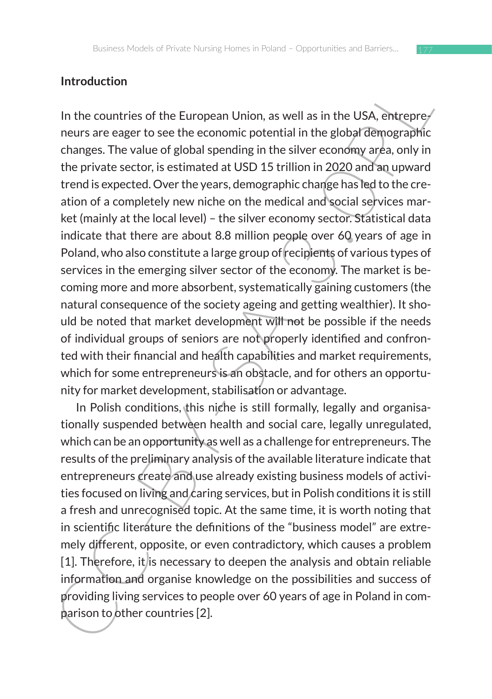### **Introduction**

In the countries of the European Union, as well as in the USA, entrepre-<br>news are easer to see the economic potential in the globa<sup>7</sup>demographic<br>changes. The value of global spending in the silver economy area, only in<br>the In the countries of the European Union, as well as in the USA, entrepreneurs are eager to see the economic potential in the global demographic changes. The value of global spending in the silver economy area, only in the private sector, is estimated at USD 15 trillion in 2020 and an upward trend is expected. Over the years, demographic change has led to the creation of a completely new niche on the medical and social services market (mainly at the local level) – the silver economy sector. Statistical data indicate that there are about 8.8 million people over 60 years of age in Poland, who also constitute a large group of recipients of various types of services in the emerging silver sector of the economy. The market is becoming more and more absorbent, systematically gaining customers (the natural consequence of the society ageing and getting wealthier). It should be noted that market development will not be possible if the needs of individual groups of seniors are not properly identified and confronted with their financial and health capabilities and market requirements, which for some entrepreneurs is an obstacle, and for others an opportunity for market development, stabilisation or advantage.

In Polish conditions, this niche is still formally, legally and organisationally suspended between health and social care, legally unregulated, which can be an opportunity as well as a challenge for entrepreneurs. The results of the preliminary analysis of the available literature indicate that entrepreneurs create and use already existing business models of activities focused on living and caring services, but in Polish conditions it is still a fresh and unrecognised topic. At the same time, it is worth noting that in scientific literature the definitions of the "business model" are extremely different, opposite, or even contradictory, which causes a problem [1]. Therefore, it is necessary to deepen the analysis and obtain reliable information and organise knowledge on the possibilities and success of providing living services to people over 60 years of age in Poland in comparison to other countries [2].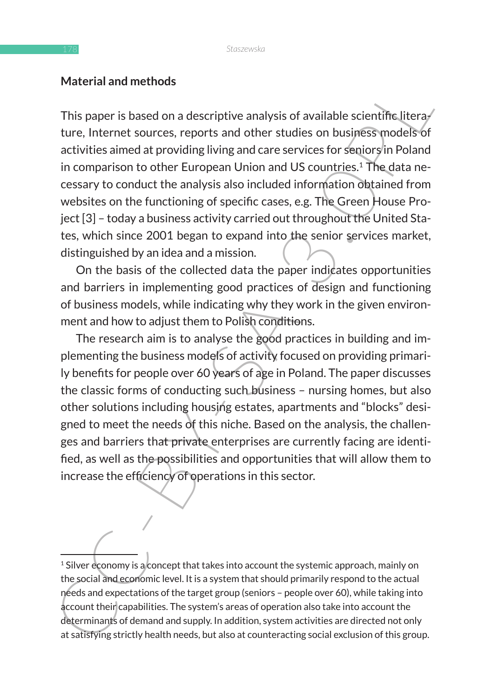### **Material and methods**

Material allumetrious<br>
This paper is based on a descriptive analysis of available scientific literary<br>
there, literaris some across, reports and other studies on business models of<br>
activities aimed at providing living and This paper is based on a descriptive analysis of available scientific litera $\ell$ ture, Internet sources, reports and other studies on business models of activities aimed at providing living and care services for seniors in Poland in comparison to other European Union and US countries.<sup>1</sup> The data necessary to conduct the analysis also included information obtained from websites on the functioning of specific cases, e.g. The Green House Project [3] – today a business activity carried out throughout the United States, which since 2001 began to expand into the senior services market, distinguished by an idea and a mission.

On the basis of the collected data the paper indicates opportunities and barriers in implementing good practices of design and functioning of business models, while indicating why they work in the given environment and how to adjust them to Polish conditions.

The research aim is to analyse the good practices in building and implementing the business models of activity focused on providing primarily benefits for people over 60 years of age in Poland. The paper discusses the classic forms of conducting such business – nursing homes, but also other solutions including housing estates, apartments and "blocks" designed to meet the needs of this niche. Based on the analysis, the challenges and barriers that private enterprises are currently facing are identified, as well as the possibilities and opportunities that will allow them to increase the efficiency of operations in this sector.

<sup>&</sup>lt;sup>1</sup> Silver economy is a concept that takes into account the systemic approach, mainly on the social and economic level. It is a system that should primarily respond to the actual needs and expectations of the target group (seniors – people over 60), while taking into account their capabilities. The system's areas of operation also take into account the determinants of demand and supply. In addition, system activities are directed not only at satisfying strictly health needs, but also at counteracting social exclusion of this group.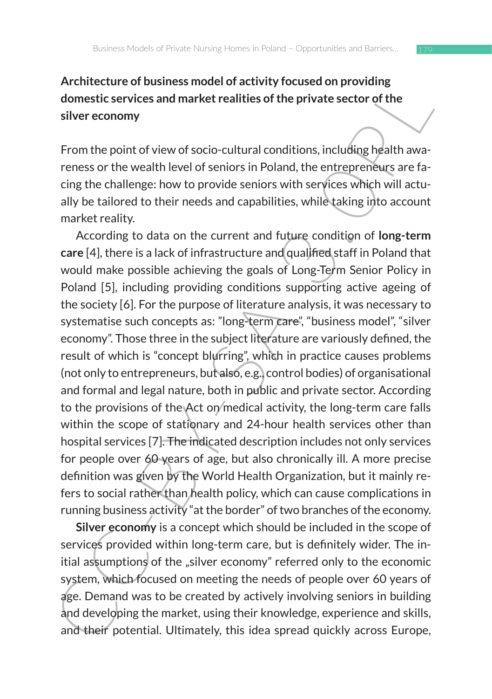# **Architecture of business model of activity focused on providing domestic services and market realities of the private sector of the silver economy**

From the point of view of socio-cultural conditions, including health awareness or the wealth level of seniors in Poland, the entrepreneurs are facing the challenge: how to provide seniors with services which will actually be tailored to their needs and capabilities, while taking into account market reality.

Artmeteure on usiness model of activity included uniprowing<br>domestic services and market realities of the private sector of the<br>silver economy<br>From the point of view of socio-cultural conditions, including health awa-<br>rene According to data on the current and future condition of **long-term care** [4], there is a lack of infrastructure and qualified staff in Poland that would make possible achieving the goals of Long-Term Senior Policy in Poland [5], including providing conditions supporting active ageing of the society [6]. For the purpose of literature analysis, it was necessary to systematise such concepts as: "long-term care", "business model", "silver economy". Those three in the subject literature are variously defined, the result of which is "concept blurring", which in practice causes problems (not only to entrepreneurs, but also, e.g., control bodies) of organisational and formal and legal nature, both in public and private sector. According to the provisions of the Act on/medical activity, the long-term care falls within the scope of stationary and 24-hour health services other than hospital services [7]. The indicated description includes not only services for people over 60 years of age, but also chronically ill. A more precise definition was given by the World Health Organization, but it mainly refers to social rather than health policy, which can cause complications in running business activity "at the border" of two branches of the economy.

**Silver economy** is a concept which should be included in the scope of services provided within long-term care, but is definitely wider. The initial assumptions of the "silver economy" referred only to the economic system, which focused on meeting the needs of people over 60 years of age. Demand was to be created by actively involving seniors in building and developing the market, using their knowledge, experience and skills, and their potential. Ultimately, this idea spread quickly across Europe,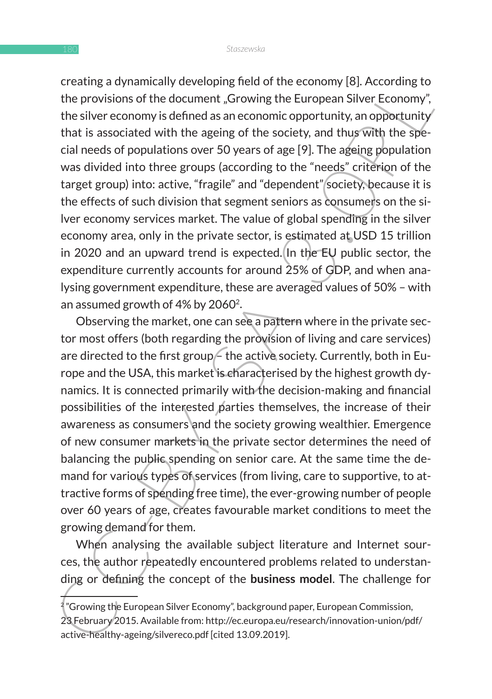drain and princing and on the economy joint, According the Browisians of the document "Growing the European Silver Economy", the silver economy is defined as an economic opportunity, an opportunity that is associated with creating a dynamically developing field of the economy [8]. According to the provisions of the document "Growing the European Silver Economy", the silver economy is defined as an economic opportunity, an opportunity that is associated with the ageing of the society, and thus with the special needs of populations over 50 years of age [9]. The ageing population was divided into three groups (according to the "needs" criterion of the target group) into: active, "fragile" and "dependent" society, because it is the effects of such division that segment seniors as consumers on the silver economy services market. The value of global spending in the silver economy area, only in the private sector, is estimated at USD 15 trillion in 2020 and an upward trend is expected. In the EU public sector, the expenditure currently accounts for around 25% of GDP, and when analysing government expenditure, these are averaged values of 50% – with an assumed growth of 4% by 20602.

Observing the market, one can see a pattern where in the private sector most offers (both regarding the provision of living and care services) are directed to the first group - the active society. Currently, both in Europe and the USA, this market is characterised by the highest growth dynamics. It is connected primarily with the decision-making and financial possibilities of the interested parties themselves, the increase of their awareness as consumers and the society growing wealthier. Emergence of new consumer markets in the private sector determines the need of balancing the public spending on senior care. At the same time the demand for various types of services (from living, care to supportive, to attractive forms of spending free time), the ever-growing number of people over 60 years of age, creates favourable market conditions to meet the growing demand for them.

When analysing the available subject literature and Internet sources, the author repeatedly encountered problems related to understanding or defining the concept of the **business model**. The challenge for

 $^{2}$ "Growing the European Silver Economy", background paper, European Commission, 23 February 2015. Available from: http://ec.europa.eu/research/innovation-union/pdf/ active-healthy-ageing/silvereco.pdf [cited 13.09.2019].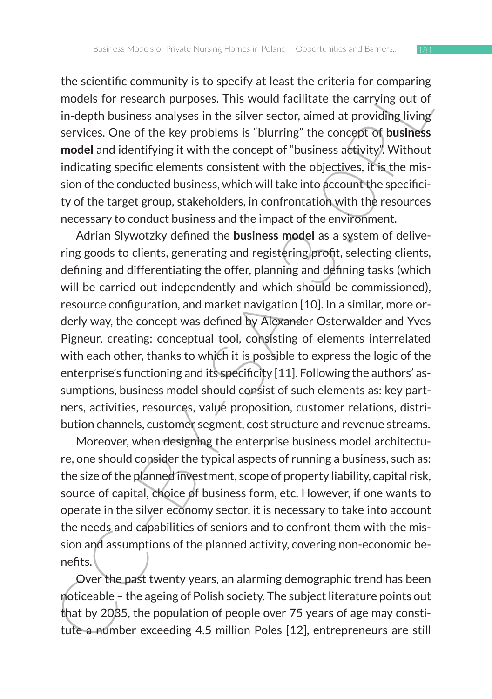the scientific community is to specify at least the criteria for comparing models for research purposes. This would facilitate the carrying out of in-depth business analyses in the silver sector, aimed at providing living services. One of the key problems is "blurring" the concept of **business model** and identifying it with the concept of "business activity". Without indicating specific elements consistent with the objectives, it is the mission of the conducted business, which will take into account the specificity of the target group, stakeholders, in confrontation with the resources necessary to conduct business and the impact of the environment.

ine scienting community is to specify at least the citeral or comparing<br>models for research purposes. This would facilitate the carrying out of<br>in-depth business analyses in the silver sector, aimed at providing living<br>ser Adrian Slywotzky defined the **business model** as a system of delivering goods to clients, generating and registering profit, selecting clients, defining and differentiating the offer, planning and defining tasks (which will be carried out independently and which should be commissioned), resource configuration, and market navigation [10]. In a similar, more orderly way, the concept was defined by Alexander Osterwalder and Yves Pigneur, creating: conceptual tool, consisting of elements interrelated with each other, thanks to which it is possible to express the logic of the enterprise's functioning and its specificity [11]. Following the authors' assumptions, business model should consist of such elements as: key partners, activities, resources, value proposition, customer relations, distribution channels, customer segment, cost structure and revenue streams.

Moreover, when designing the enterprise business model architecture, one should consider the typical aspects of running a business, such as: the size of the planned investment, scope of property liability, capital risk, source of capital, choice of business form, etc. However, if one wants to operate in the silver economy sector, it is necessary to take into account the needs and capabilities of seniors and to confront them with the mission and assumptions of the planned activity, covering non-economic benefits.

Over the past twenty years, an alarming demographic trend has been noticeable – the ageing of Polish society. The subject literature points out that by 2035, the population of people over 75 years of age may constitute a number exceeding 4.5 million Poles [12], entrepreneurs are still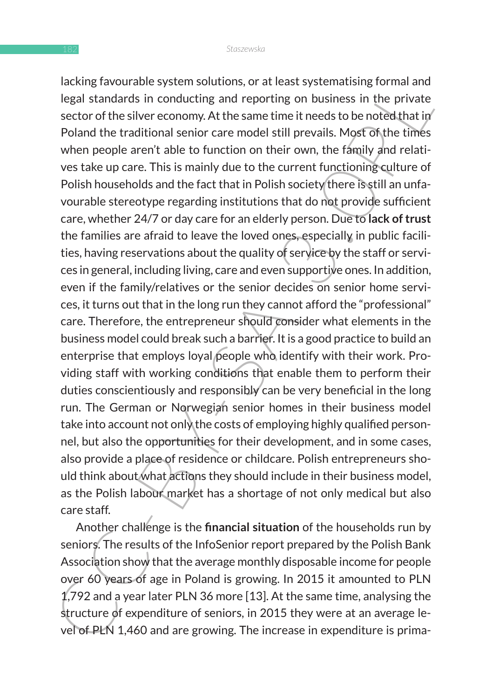Legal standards in conducting and reporting on business in the private legal standards in conducting and reporting on business in the private sector of the silver economy. At the same time it needs to be noted that in Pola lacking favourable system solutions, or at least systematising formal and legal standards in conducting and reporting on business in the private sector of the silver economy. At the same time it needs to be noted that in Poland the traditional senior care model still prevails. Most of the times when people aren't able to function on their own, the family and relatives take up care. This is mainly due to the current functioning culture of Polish households and the fact that in Polish society there is still an unfavourable stereotype regarding institutions that do not provide sufficient care, whether 24/7 or day care for an elderly person. Due to **lack of trust**  the families are afraid to leave the loved ones, especially in public facilities, having reservations about the quality of service by the staff or services in general, including living, care and even supportive ones. In addition, even if the family/relatives or the senior decides on senior home services, it turns out that in the long run they cannot afford the "professional" care. Therefore, the entrepreneur should consider what elements in the business model could break such a barrier. It is a good practice to build an enterprise that employs loyal people who identify with their work. Providing staff with working conditions that enable them to perform their duties conscientiously and responsibly can be very beneficial in the long run. The German or Norwegian senior homes in their business model take into account not only the costs of employing highly qualified personnel, but also the opportunities for their development, and in some cases, also provide a place of residence or childcare. Polish entrepreneurs should think about what actions they should include in their business model, as the Polish labour market has a shortage of not only medical but also care staff.

Another challenge is the **financial situation** of the households run by seniors. The results of the InfoSenior report prepared by the Polish Bank Association show that the average monthly disposable income for people over 60 years of age in Poland is growing. In 2015 it amounted to PLN 1,792 and a year later PLN 36 more [13]. At the same time, analysing the structure of expenditure of seniors, in 2015 they were at an average level of PLN 1,460 and are growing. The increase in expenditure is prima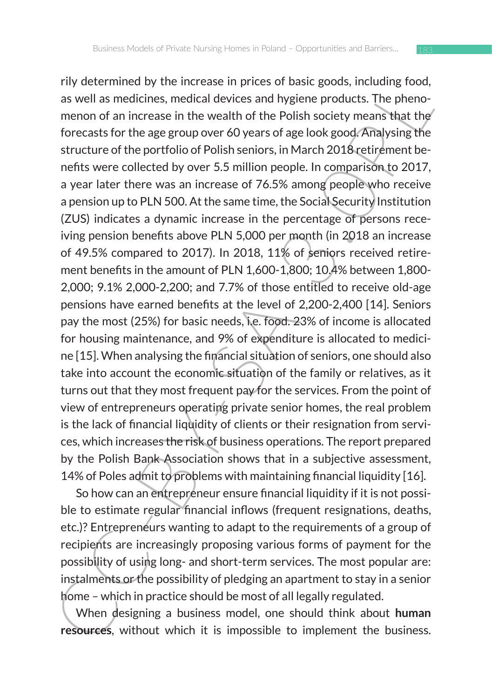For veteratine us yields of the exacts in pirtues of usat; goods, miculang root, and a swell as medicines, medical devices and hygien products. The phenomenon of an increase in the wealth of the Polish society means that rily determined by the increase in prices of basic goods, including food, as well as medicines, medical devices and hygiene products. The phenomenon of an increase in the wealth of the Polish society means that the forecasts for the age group over 60 years of age look good. Analysing the structure of the portfolio of Polish seniors, in March 2018 retirement benefits were collected by over 5.5 million people. In comparison to 2017, a year later there was an increase of 76.5% among people who receive a pension up to PLN 500. At the same time, the Social Security Institution (ZUS) indicates a dynamic increase in the percentage of persons receiving pension benefits above PLN 5,000 per month (in 2018 an increase of 49.5% compared to 2017). In 2018, 11% of seniors received retirement benefits in the amount of PLN 1,600-1,800; 10.4% between 1,800- 2,000; 9.1% 2,000-2,200; and 7.7% of those entitled to receive old-age pensions have earned benefits at the level of 2,200-2,400 [14]. Seniors pay the most (25%) for basic needs, i.e. food. 23% of income is allocated for housing maintenance, and 9% of expenditure is allocated to medicine [15]. When analysing the financial situation of seniors, one should also take into account the economic situation of the family or relatives, as it turns out that they most frequent pay for the services. From the point of view of entrepreneurs operating private senior homes, the real problem is the lack of financial liquidity of clients or their resignation from services, which increases the risk of business operations. The report prepared by the Polish Bank Association shows that in a subjective assessment, 14% of Poles admit to problems with maintaining financial liquidity [16].

So how can an entrepreneur ensure financial liquidity if it is not possible to estimate regular financial inflows (frequent resignations, deaths, etc.)? Entrepreneurs wanting to adapt to the requirements of a group of recipients are increasingly proposing various forms of payment for the possibility of using long- and short-term services. The most popular are: instalments or the possibility of pledging an apartment to stay in a senior home – which in practice should be most of all legally regulated.

When designing a business model, one should think about **human resources**, without which it is impossible to implement the business.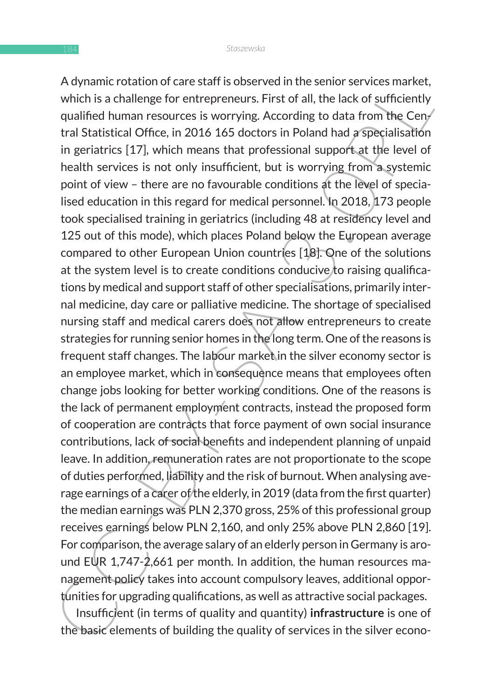A unit cotatorion care star is observed in the senior services inarised,<br>which is a challenge for entrepreneurs. First of all, the lack of sufficiently<br>qualified human resources is worrying. According to data from the Ceny A dynamic rotation of care staff is observed in the senior services market, which is a challenge for entrepreneurs. First of all, the lack of sufficiently qualified human resources is worrying. According to data from the Central Statistical Office, in 2016 165 doctors in Poland had a specialisation in geriatrics [17], which means that professional support at the level of health services is not only insufficient, but is worrying from a systemic point of view – there are no favourable conditions at the level of specialised education in this regard for medical personnel. In 2018, 173 people took specialised training in geriatrics (including 48 at residency level and 125 out of this mode), which places Poland below the European average compared to other European Union countries [18]. One of the solutions at the system level is to create conditions conducive to raising qualifications by medical and support staff of other specialisations, primarily internal medicine, day care or palliative medicine. The shortage of specialised nursing staff and medical carers does not allow entrepreneurs to create strategies for running senior homes in the long term. One of the reasons is frequent staff changes. The labour market in the silver economy sector is an employee market, which in consequence means that employees often change jobs looking for better working conditions. One of the reasons is the lack of permanent employment contracts, instead the proposed form of cooperation are contracts that force payment of own social insurance contributions, lack of social benefits and independent planning of unpaid leave. In addition, remuneration rates are not proportionate to the scope of duties performed, liability and the risk of burnout. When analysing average earnings of a carer of the elderly, in 2019 (data from the first quarter) the median earnings was PLN 2,370 gross, 25% of this professional group receives earnings below PLN 2,160, and only 25% above PLN 2,860 [19]. For comparison, the average salary of an elderly person in Germany is around EUR 1,747-2,661 per month. In addition, the human resources management policy takes into account compulsory leaves, additional opportunities for upgrading qualifications, as well as attractive social packages.

Insufficient (in terms of quality and quantity) **infrastructure** is one of the basic elements of building the quality of services in the silver econo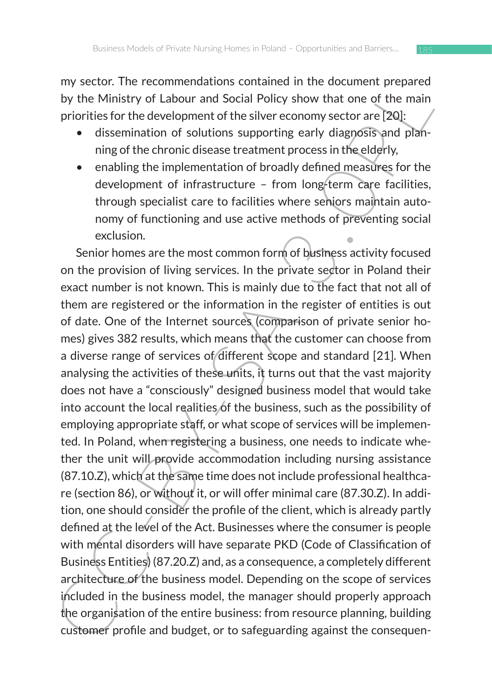my sector. The recommendations contained in the document prepared by the Ministry of Labour and Social Policy show that one of the main priorities for the development of the silver economy sector are [20]:

- dissemination of solutions supporting early diagnosis and planning of the chronic disease treatment process in the elderly,
- enabling the implementation of broadly defined measures for the development of infrastructure – from long-term care facilities, through specialist care to facilities where seniors maintain autonomy of functioning and use active methods of preventing social exclusion.

iny sector. The recommenduation contained in the ucocometric preared in the both of optical discussions contained in the content of the original priorities for the development of the silver economy sector are [20]:<br>
• diss Senior homes are the most common form of business activity focused on the provision of living services. In the private sector in Poland their exact number is not known. This is mainly due to the fact that not all of them are registered or the information in the register of entities is out of date. One of the Internet sources (comparison of private senior homes) gives 382 results, which means that the customer can choose from a diverse range of services of different scope and standard [21]. When analysing the activities of these units, it turns out that the vast majority does not have a "consciously" designed business model that would take into account the local realities of the business, such as the possibility of employing appropriate staff, or what scope of services will be implemented. In Poland, when registering a business, one needs to indicate whether the unit will provide accommodation including nursing assistance (87.10.Z), which at the same time does not include professional healthcare (section 86), or without it, or will offer minimal care (87.30.Z). In addition, one should consider the profile of the client, which is already partly defined at the level of the Act. Businesses where the consumer is people with mental disorders will have separate PKD (Code of Classification of Business Entities) (87.20.Z) and, as a consequence, a completely different architecture of the business model. Depending on the scope of services included in the business model, the manager should properly approach the organisation of the entire business: from resource planning, building customer profile and budget, or to safeguarding against the consequen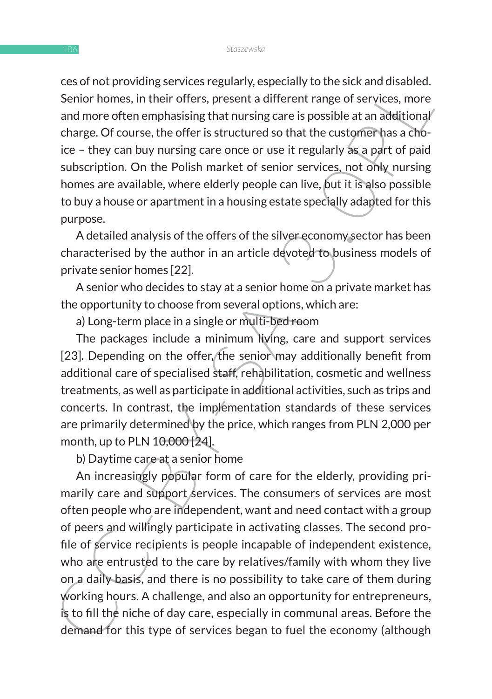ces of not providing services regularly, especially to the sick and disabled. Senior homes, in their offers, present a different range of services, more and more often emphasising that nursing care is possible at an additional charge. Of course, the offer is structured so that the customer has a choice – they can buy nursing care once or use it regularly as a part of paid subscription. On the Polish market of senior services, not only nursing homes are available, where elderly people can live, but it is also possible to buy a house or apartment in a housing estate specially adapted for this purpose.

A detailed analysis of the offers of the silver economy sector has been characterised by the author in an article devoted to business models of private senior homes [22].

A senior who decides to stay at a senior home on a private market has the opportunity to choose from several options, which are:

a) Long-term place in a single or multi-bed room

The packages include a minimum living, care and support services [23]. Depending on the offer, the senior may additionally benefit from additional care of specialised staff, rehabilitation, cosmetic and wellness treatments, as well as participate in additional activities, such as trips and concerts. In contrast, the implementation standards of these services are primarily determined by the price, which ranges from PLN 2,000 per month, up to PLN 10,000 [24].

b) Daytime care at a senior home

Esso into proving services regularly, especially to une sixt and unabled.<br>Serior homes, in their offers, present a different range of services, more<br>and more often emphasising that nursing care is possible at an additional An increasingly popular form of care for the elderly, providing primarily care and support services. The consumers of services are most often people who are independent, want and need contact with a group of peers and willingly participate in activating classes. The second profile of service recipients is people incapable of independent existence, who are entrusted to the care by relatives/family with whom they live on a daily basis, and there is no possibility to take care of them during working hours. A challenge, and also an opportunity for entrepreneurs, is to fill the niche of day care, especially in communal areas. Before the demand for this type of services began to fuel the economy (although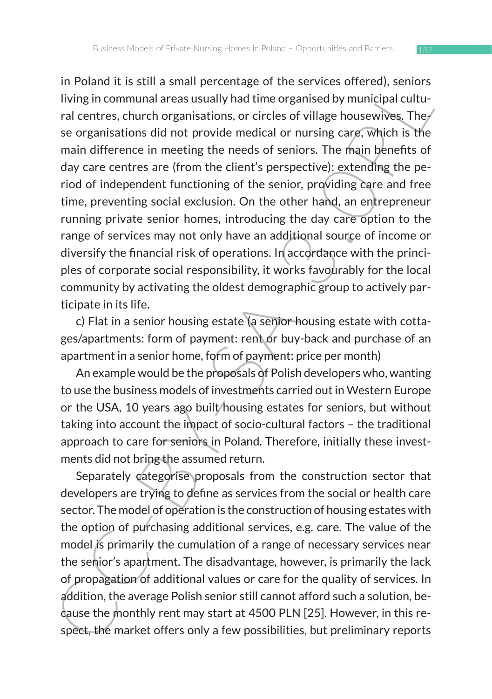If it us als und a share therefore of the services onered, sentently and performal a reason structure in the sentes of the sentes of the sentes of the sentes of the sentes of the sentes of the sentes of the sentes of the s in Poland it is still a small percentage of the services offered), seniors living in communal areas usually had time organised by municipal cultural centres, church organisations, or circles of village housewives. The se organisations did not provide medical or nursing care, which is the main difference in meeting the needs of seniors. The main benefits of day care centres are (from the client's perspective): extending the period of independent functioning of the senior, providing care and free time, preventing social exclusion. On the other hand, an entrepreneur running private senior homes, introducing the day care option to the range of services may not only have an additional source of income or diversify the financial risk of operations. In accordance with the principles of corporate social responsibility, it works favourably for the local community by activating the oldest demographic group to actively participate in its life.

c) Flat in a senior housing estate (a senior housing estate with cottages/apartments: form of payment: rent or buy-back and purchase of an apartment in a senior home, form of payment: price per month)

An example would be the proposals of Polish developers who, wanting to use the business models of investments carried out in Western Europe or the USA, 10 years ago built/housing estates for seniors, but without taking into account the impact of socio-cultural factors – the traditional approach to care for seniors in Poland. Therefore, initially these investments did not bring the assumed return.

Separately categorise proposals from the construction sector that developers are trying to define as services from the social or health care sector. The model of operation is the construction of housing estates with the option of purchasing additional services, e.g. care. The value of the model is primarily the cumulation of a range of necessary services near the senior's apartment. The disadvantage, however, is primarily the lack of propagation of additional values or care for the quality of services. In addition, the average Polish senior still cannot afford such a solution, because the monthly rent may start at 4500 PLN [25]. However, in this respect, the market offers only a few possibilities, but preliminary reports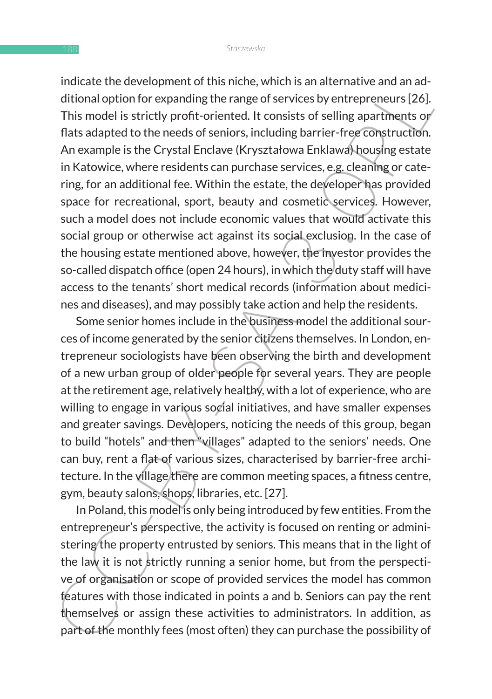Indicate the development of unisintic, whitch, sathare in an activitational and nadi-<br>Individual aption for expanding the range of services by entrepreneurs [26]. This model is strictly profit-oriented. It consists of sell indicate the development of this niche, which is an alternative and an additional option for expanding the range of services by entrepreneurs [26]. This model is strictly profit-oriented. It consists of selling apartments or flats adapted to the needs of seniors, including barrier-free construction. An example is the Crystal Enclave (Kryształowa Enklawa) housing estate in Katowice, where residents can purchase services, e.g. cleaning or catering, for an additional fee. Within the estate, the developer has provided space for recreational, sport, beauty and cosmetic services. However, such a model does not include economic values that would activate this social group or otherwise act against its social exclusion. In the case of the housing estate mentioned above, however, the investor provides the so-called dispatch office (open 24 hours), in which the duty staff will have access to the tenants' short medical records (information about medicines and diseases), and may possibly take action and help the residents.

Some senior homes include in the business model the additional sources of income generated by the senior citizens themselves. In London, entrepreneur sociologists have been observing the birth and development of a new urban group of older people for several years. They are people at the retirement age, relatively healthy, with a lot of experience, who are willing to engage in various social initiatives, and have smaller expenses and greater savings. Developers, noticing the needs of this group, began to build "hotels" and then "villages" adapted to the seniors' needs. One can buy, rent a flat of various sizes, characterised by barrier-free architecture. In the village there are common meeting spaces, a fitness centre, gym, beauty salons, shops, libraries, etc. [27].

In Poland, this model is only being introduced by few entities. From the entrepreneur's perspective, the activity is focused on renting or administering the property entrusted by seniors. This means that in the light of the law it is not strictly running a senior home, but from the perspective of organisation or scope of provided services the model has common features with those indicated in points a and b. Seniors can pay the rent themselves or assign these activities to administrators. In addition, as part of the monthly fees (most often) they can purchase the possibility of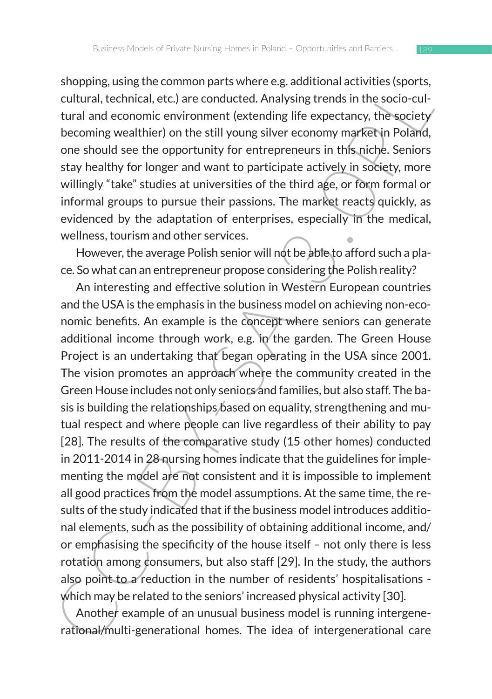shopping, using the common parts where e.g. additional activities (sports, cultural, technical, etc.) are conducted. Analysing trends in the socio-cultural and economic environment (extending life expectancy, the society becoming wealthier) on the still young silver economy market in Poland, one should see the opportunity for entrepreneurs in this niche. Seniors stay healthy for longer and want to participate actively in society, more willingly "take" studies at universities of the third age, or form formal or informal groups to pursue their passions. The market reacts quickly, as evidenced by the adaptation of enterprises, especially in the medical, wellness, tourism and other services.

However, the average Polish senior will not be able to afford such a place. So what can an entrepreneur propose considering the Polish reality?

subpung, using the columning hars where e.g., adunoinal activities is ports,<br>cultural, technical, etc.) are conducted. Analysing trends in the socio-cul-<br>tural and economic environment (extending life expectancy, the socie An interesting and effective solution in Western European countries and the USA is the emphasis in the business model on achieving non-economic benefits. An example is the concept where seniors can generate additional income through work, e.g. in the garden. The Green House Project is an undertaking that began operating in the USA since 2001. The vision promotes an approach where the community created in the Green House includes not only seniors and families, but also staff. The basis is building the relationships based on equality, strengthening and mutual respect and where people can live regardless of their ability to pay [28]. The results of the comparative study (15 other homes) conducted in 2011-2014 in 28 nursing homes indicate that the guidelines for implementing the model are not consistent and it is impossible to implement all good practices from the model assumptions. At the same time, the results of the study indicated that if the business model introduces additional elements, such as the possibility of obtaining additional income, and/ or emphasising the specificity of the house itself – not only there is less rotation among consumers, but also staff [29]. In the study, the authors also point to a reduction in the number of residents' hospitalisations which may be related to the seniors' increased physical activity [30].

Another example of an unusual business model is running intergenerational/multi-generational homes. The idea of intergenerational care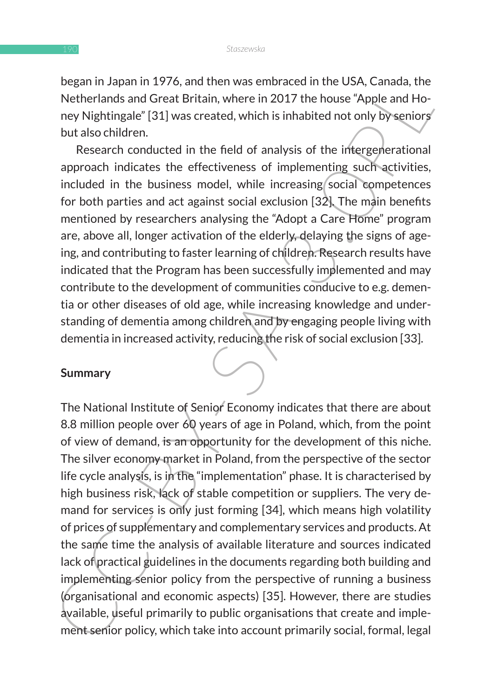began in Japan in 1976, and then was embraced in the USA, Canada, the Netherlands and Great Britain, where in 2017 the house "Apple and Honey Nightingale" [31] was created, which is inhabited not only by seniors but also children.

Research conducted in the field of analysis of the intergenerational approach indicates the effectiveness of implementing such activities, included in the business model, while increasing social competences for both parties and act against social exclusion [32]. The main benefits mentioned by researchers analysing the "Adopt a Care Home" program are, above all, longer activation of the elderly, delaying the signs of ageing, and contributing to faster learning of children. Research results have indicated that the Program has been successfully implemented and may contribute to the development of communities conducive to e.g. dementia or other diseases of old age, while increasing knowledge and understanding of dementia among children and by engaging people living with dementia in increased activity, reducing the risk of social exclusion [33].

### **Summary**

Degativing applainting to an universe annoted on the USA, Calidual, the the Netherlands and Great Britain, where in 2017 the house "Apple and Ho-<br>ney Nightingale" [31] was created, which is inhabited not only by seniors<br>bu The National Institute of Senior Economy indicates that there are about 8.8 million people over 60 years of age in Poland, which, from the point of view of demand, is an opportunity for the development of this niche. The silver economy market in Poland, from the perspective of the sector life cycle analysis, is in the "implementation" phase. It is characterised by high business risk, lack of stable competition or suppliers. The very demand for services is only just forming [34], which means high volatility of prices of supplementary and complementary services and products. At the same time the analysis of available literature and sources indicated lack of practical guidelines in the documents regarding both building and implementing senior policy from the perspective of running a business (organisational and economic aspects) [35]. However, there are studies available, useful primarily to public organisations that create and implement senior policy, which take into account primarily social, formal, legal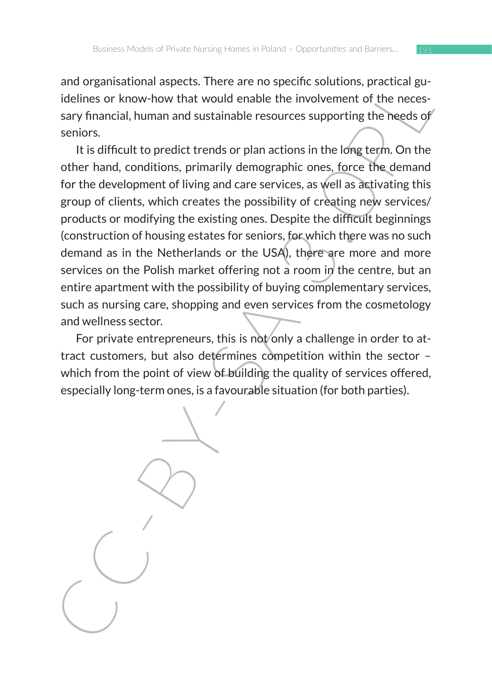and organisational aspects. There are no specific solutions, practical guidelines or know-how that would enable the involvement of the necessary financial, human and sustainable resources supporting the needs of seniors.

and or galmational aspects. Inter are non-spectrus solutions, plactitus given the measured in the measured in the involvement of the necessary financial, human and sustainable resources supporting the heeds of seniors.<br>
It It is difficult to predict trends or plan actions in the long term. On the other hand, conditions, primarily demographic ones, force the demand for the development of living and care services, as well as activating this group of clients, which creates the possibility of creating new services/ products or modifying the existing ones. Despite the difficult beginnings (construction of housing estates for seniors, for which there was no such demand as in the Netherlands or the USA), there are more and more services on the Polish market offering not a room in the centre, but an entire apartment with the possibility of buying complementary services, such as nursing care, shopping and even services from the cosmetology and wellness sector.

For private entrepreneurs, this is not only a challenge in order to attract customers, but also determines competition within the sector – which from the point of view of building the quality of services offered, especially long-term ones, is a favourable situation (for both parties).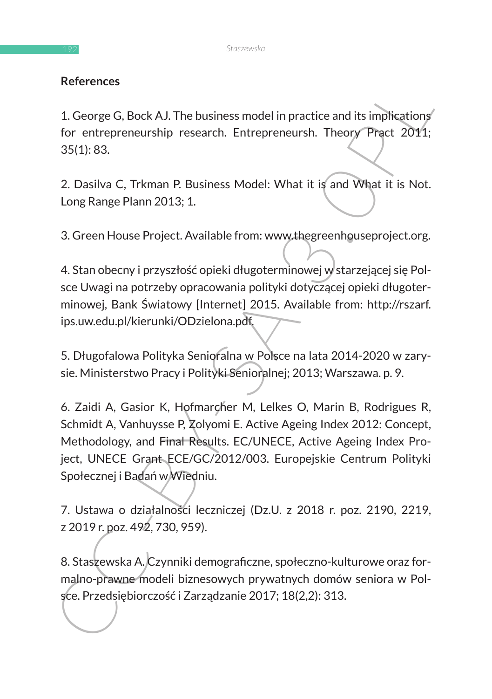## **References**

1. George G, Bock AJ. The business model in practice and its implications for entrepreneurship research. Entrepreneursh. Theory Pract 2011; 35(1): 83.

2. Dasilva C, Trkman P. Business Model: What it is and What it is Not. Long Range Plann 2013; 1.

3. Green House Project. Available from: www.thegreenhouseproject.org.

4. Stan obecny i przyszłość opieki długoterminowej w starzejącej się Polsce Uwagi na potrzeby opracowania polityki dotyczącej opieki długoterminowej, Bank Światowy [Internet] 2015. Available from: http://rszarf. ips.uw.edu.pl/kierunki/ODzielona.pdf.

5. Długofalowa Polityka Senioralna w Polsce na lata 2014-2020 w zarysie. Ministerstwo Pracy i Polityki Senioralnej; 2013; Warszawa. p. 9.

References<br>
1. George G, Bock AJ. The business model in practice and its implications<br>
for entrepreneurship research. Entrepreneurshi, Theory Pract 2011;<br>
35(1): 83.<br>
2. Dasliva C, Trkman P. Business Model: What it is and 6. Zaidi A, Gasior K, Hofmarcher M, Lelkes O, Marin B, Rodrigues R, Schmidt A, Vanhuysse P, Zolyomi E. Active Ageing Index 2012: Concept, Methodology, and Final Results. EC/UNECE, Active Ageing Index Project, UNECE Grant ECE/GC/2012/003. Europejskie Centrum Polityki Społecznej i Badań w Wiedniu.

7. Ustawa o działalności leczniczej (Dz.U. z 2018 r. poz. 2190, 2219, z 2019 r. poz. 492, 730, 959).

8. Staszewska A. Czynniki demograficzne, społeczno-kulturowe oraz formalno-prawne modeli biznesowych prywatnych domów seniora w Polsce. Przedsiębiorczość i Zarządzanie 2017; 18(2,2): 313.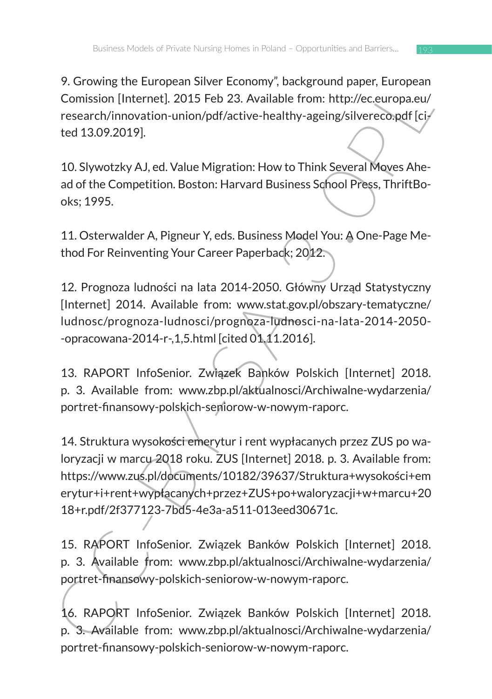9. Growing the European Silver Economy", background paper, European Comission [Internet]. 2015 Feb 23. Available from: http://ec.europa.eu/ research/innovation-union/pdf/active-healthy-ageing/silvereco.pdf [cited 13.09.2019].

10. Slywotzky AJ, ed. Value Migration: How to Think Several Moves Ahead of the Competition. Boston: Harvard Business School Press, ThriftBooks; 1995.

11. Osterwalder A, Pigneur Y, eds. Business Model You: A One-Page Method For Reinventing Your Career Paperback; 2012.

12. Prognoza ludności na lata 2014-2050. Główny Urząd Statystyczny [Internet] 2014. Available from: www.stat.gov.pl/obszary-tematyczne/ ludnosc/prognoza-ludnosci/prognoza-ludnosci-na-lata-2014-2050- -opracowana-2014-r-,1,5.html [cited 01.11.2016].

13. RAPORT InfoSenior. Związek Banków Polskich [Internet] 2018. p. 3. Available from: www.zbp.pl/aktualnosci/Archiwalne-wydarzenia/ portret-finansowy-polskich-seniorow-w-nowym-raporc.

9. Litewisig une transport consider from the priority calculate particle consistion (Internet). 2015 Feb 23. Available from: http://ec.europa.eu/<br>research/innovation-union/pdf/active-healthy-ageing/silverecongif [ci-<br>ted 1 14. Struktura wysokości emerytur i rent wypłacanych przez ZUS po waloryzacji w marcu 2018 roku. ZUS [Internet] 2018. p. 3. Available from: https://www.zus.pl/documents/10182/39637/Struktura+wysokości+em erytur+i+rent+wypłacanych+przez+ZUS+po+waloryzacji+w+marcu+20 18+r.pdf/2f377123-7bd5-4e3a-a511-013eed30671c.

15. RAPORT InfoSenior. Związek Banków Polskich [Internet] 2018. p. 3. Available from: www.zbp.pl/aktualnosci/Archiwalne-wydarzenia/ portret-finansowy-polskich-seniorow-w-nowym-raporc.

16. RAPORT InfoSenior. Związek Banków Polskich [Internet] 2018. p. 3. Available from: www.zbp.pl/aktualnosci/Archiwalne-wydarzenia/ portret-finansowy-polskich-seniorow-w-nowym-raporc.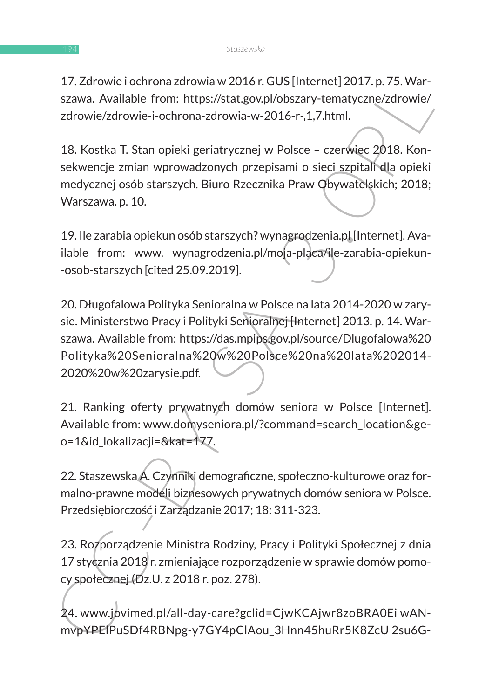17. Zdrowie i ochrona zdrowia w 2016 r. GUS [Internet] 2017. p. 75. Warszawa. Available from: https://stat.gov.pl/obszary-tematyczne/zdrowie/ zdrowie/zdrowie-i-ochrona-zdrowia-w-2016-r-,1,7.html.

18. Kostka T. Stan opieki geriatrycznej w Polsce – czerwiec 2018. Konsekwencje zmian wprowadzonych przepisami o sieci szpitali dla opieki medycznej osób starszych. Biuro Rzecznika Praw Obywatelskich; 2018; Warszawa. p. 10.

19. Ile zarabia opiekun osób starszych? wynagrodzenia.pl [Internet]. Available from: www. wynagrodzenia.pl/moja-placa/ile-zarabia-opiekun--osob-starszych [cited 25.09.2019].

17. Zurowe locurious autouris, the system current and account to the system of the system of the system of the system of the system of the system of the system of the system of the system of the system of the system of the 20. Długofalowa Polityka Senioralna w Polsce na lata 2014-2020 w zarysie. Ministerstwo Pracy i Polityki Senioralnej [Internet] 2013. p. 14. Warszawa. Available from: https://das.mpips.gov.pl/source/Dlugofalowa%20 Polityka%20Senioralna%20w%20Polsce%20na%20lata%202014- 2020%20w%20zarysie.pdf.

21. Ranking oferty prywatnych domów seniora w Polsce [Internet]. Available from: www.domyseniora.pl/?command=search\_location&geo=1&id\_lokalizacji=&kat=177.

22. Staszewska A. Czynniki demograficzne, społeczno-kulturowe oraz formalno-prawne modeli biznesowych prywatnych domów seniora w Polsce. Przedsiębiorczość i Zarządzanie 2017; 18: 311-323.

23. Rozporządzenie Ministra Rodziny, Pracy i Polityki Społecznej z dnia 17 stycznia 2018 r. zmieniające rozporządzenie w sprawie domów pomocy społecznej (Dz.U. z 2018 r. poz. 278).

24. www.jovimed.pl/all-day-care?gclid=CjwKCAjwr8zoBRA0Ei wANmvpYPElPuSDf4RBNpg-y7GY4pClAou\_3Hnn45huRr5K8ZcU 2su6G-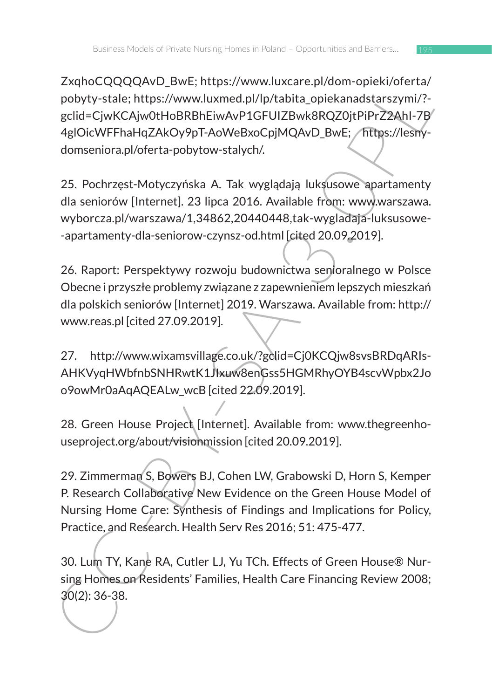XAIno-Cycloquelow-Dwin Unis-Xivwww.unacare.phonon-piersioner laving<br>
pobyty-stale; https://www.unacare.phonon-piersioner-aving-<br>
gclid=CjwKCAjw0tHoBRBhEiwAvP1GFUIZBwk8RQZ0jtPiPrZ2Ahl-79<br>
gclid=CjwKCAjw0tHoBRBhEiwAvP1GFUIZB ZxqhoCQQQQAvD\_BwE; https://www.luxcare.pl/dom-opieki/oferta/ pobyty-stale; https://www.luxmed.pl/lp/tabita\_opiekanadstarszymi/? gclid=CjwKCAjw0tHoBRBhEiwAvP1GFUIZBwk8RQZ0jtPiPrZ2AhI-7B 4glOicWFFhaHqZAkOy9pT-AoWeBxoCpjMQAvD\_BwE; https://lesnydomseniora.pl/oferta-pobytow-stalych/.

25. Pochrzęst-Motyczyńska A. Tak wyglądają luksusowe apartamenty dla seniorów [Internet]. 23 lipca 2016. Available from: www.warszawa. wyborcza.pl/warszawa/1,34862,20440448,tak-wygladaja-luksusowe- -apartamenty-dla-seniorow-czynsz-od.html [cited 20.09.2019].

26. Raport: Perspektywy rozwoju budownictwa senioralnego w Polsce Obecne i przyszłe problemy związane z zapewnieniem lepszych mieszkań dla polskich seniorów [Internet] 2019. Warszawa. Available from: http:// www.reas.pl [cited 27.09.2019].

27. http://www.wixamsvillage.co.uk/?gclid=Cj0KCQjw8svsBRDqARIs-AHKVyqHWbfnbSNHRwtK1JIxuw8enGss5HGMRhyOYB4scvWpbx2Jo o9owMr0aAqAQEALw\_wcB [cited 22.09.2019].

28. Green House Project [Internet]. Available from: www.thegreenhouseproject.org/about/visionmission [cited 20.09.2019].

29. Zimmerman S, Bowers BJ, Cohen LW, Grabowski D, Horn S, Kemper P. Research Collaborative New Evidence on the Green House Model of Nursing Home Care: Synthesis of Findings and Implications for Policy, Practice, and Research. Health Serv Res 2016; 51: 475-477.

30. Lum TY, Kane RA, Cutler LJ, Yu TCh. Effects of Green House® Nursing Homes on Residents' Families, Health Care Financing Review 2008; 30(2): 36-38.